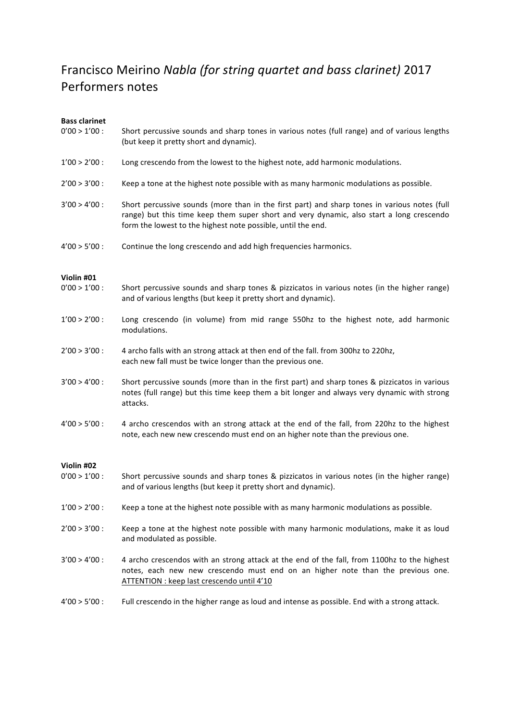## Francisco Meirino *Nabla (for string quartet and bass clarinet)* 2017 Performers notes

## **Bass clarinet**

| <b>Bass clarinet</b> |                                                                                                                                                                                                                                                          |
|----------------------|----------------------------------------------------------------------------------------------------------------------------------------------------------------------------------------------------------------------------------------------------------|
| $0'00 > 1'00$ :      | Short percussive sounds and sharp tones in various notes (full range) and of various lengths<br>(but keep it pretty short and dynamic).                                                                                                                  |
| $1'00 > 2'00$ :      | Long crescendo from the lowest to the highest note, add harmonic modulations.                                                                                                                                                                            |
| $2'00 > 3'00$ :      | Keep a tone at the highest note possible with as many harmonic modulations as possible.                                                                                                                                                                  |
| $3'00 > 4'00$ :      | Short percussive sounds (more than in the first part) and sharp tones in various notes (full<br>range) but this time keep them super short and very dynamic, also start a long crescendo<br>form the lowest to the highest note possible, until the end. |
| $4'00 > 5'00$ :      | Continue the long crescendo and add high frequencies harmonics.                                                                                                                                                                                          |
| Violin #01           |                                                                                                                                                                                                                                                          |
| $0'00 > 1'00$ :      | Short percussive sounds and sharp tones & pizzicatos in various notes (in the higher range)<br>and of various lengths (but keep it pretty short and dynamic).                                                                                            |
| $1'00 > 2'00$ :      | Long crescendo (in volume) from mid range 550hz to the highest note, add harmonic<br>modulations.                                                                                                                                                        |
| $2'00 > 3'00$ :      | 4 archo falls with an strong attack at then end of the fall. from 300hz to 220hz,<br>each new fall must be twice longer than the previous one.                                                                                                           |
| $3'00 > 4'00$ :      | Short percussive sounds (more than in the first part) and sharp tones & pizzicatos in various<br>notes (full range) but this time keep them a bit longer and always very dynamic with strong<br>attacks.                                                 |
| $4'00 > 5'00$ :      | 4 archo crescendos with an strong attack at the end of the fall, from 220hz to the highest<br>note, each new new crescendo must end on an higher note than the previous one.                                                                             |
| Violin #02           |                                                                                                                                                                                                                                                          |
| $0'00 > 1'00$ :      | Short percussive sounds and sharp tones & pizzicatos in various notes (in the higher range)<br>and of various lengths (but keep it pretty short and dynamic).                                                                                            |
| $1'00 > 2'00$ :      | Keep a tone at the highest note possible with as many harmonic modulations as possible.                                                                                                                                                                  |
| $2'00 > 3'00$ :      | Keep a tone at the highest note possible with many harmonic modulations, make it as loud<br>and modulated as possible.                                                                                                                                   |
| $3'00 > 4'00$ :      | 4 archo crescendos with an strong attack at the end of the fall, from 1100hz to the highest<br>notes, each new new crescendo must end on an higher note than the previous one.<br>ATTENTION : keep last crescendo until 4'10                             |
| $4'00 > 5'00$ :      | Full crescendo in the higher range as loud and intense as possible. End with a strong attack.                                                                                                                                                            |